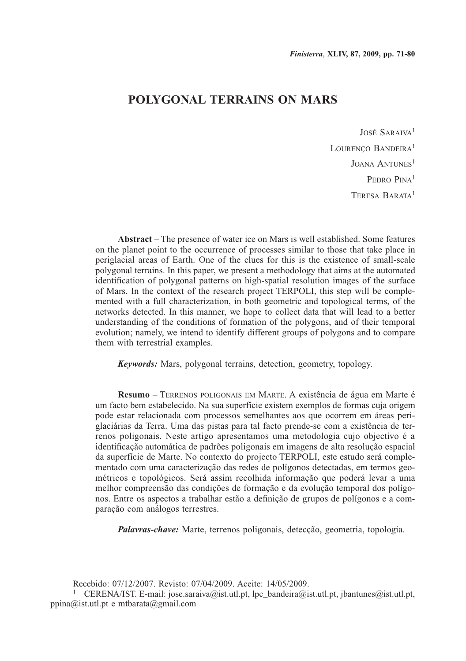# **POLYGONAL TERRAINS ON MARS**

José Saraiva<sup>1</sup> LOURENCO BANDEIRA<sup>1</sup> JOANA ANTUNES<sup>1</sup> PEDRO PINA<sup>1</sup> Teresa Barata1

**Abstract** – The presence of water ice on Mars is well established. Some features on the planet point to the occurrence of processes similar to those that take place in periglacial areas of Earth. One of the clues for this is the existence of small-scale polygonal terrains. In this paper, we present a methodology that aims at the automated identification of polygonal patterns on high-spatial resolution images of the surface of Mars. In the context of the research project TERPOLI, this step will be complemented with a full characterization, in both geometric and topological terms, of the networks detected. In this manner, we hope to collect data that will lead to a better understanding of the conditions of formation of the polygons, and of their temporal evolution; namely, we intend to identify different groups of polygons and to compare them with terrestrial examples.

*Keywords:* Mars, polygonal terrains, detection, geometry, topology.

**Resumo** – Terrenos poligonais em Marte. A existência de água em Marte é um facto bem estabelecido. Na sua superfície existem exemplos de formas cuja origem pode estar relacionada com processos semelhantes aos que ocorrem em áreas periglaciárias da Terra. Uma das pistas para tal facto prende-se com a existência de terrenos poligonais. Neste artigo apresentamos uma metodologia cujo objectivo é a identificação automática de padrões poligonais em imagens de alta resolução espacial da superfície de Marte. No contexto do projecto TERPOLI, este estudo será complementado com uma caracterização das redes de polígonos detectadas, em termos geométricos e topológicos. Será assim recolhida informação que poderá levar a uma melhor compreensão das condições de formação e da evolução temporal dos polígonos. Entre os aspectos a trabalhar estão a definição de grupos de polígonos e a comparação com análogos terrestres.

*Palavras-chave:* Marte, terrenos poligonais, detecção, geometria, topologia.

Recebido: 07/12/2007. Revisto: 07/04/2009. Aceite: 14/05/2009.

<sup>&</sup>lt;sup>1</sup> CERENA/IST. E-mail: jose.saraiva@ist.utl.pt, lpc\_bandeira@ist.utl.pt, jbantunes@ist.utl.pt, ppina@ist.utl.pt e mtbarata@gmail.com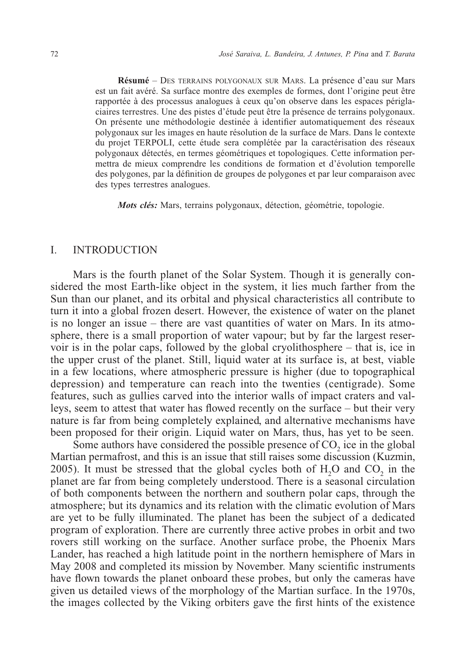**Résumé** – Des terrains polygonaux sur Mars. La présence d'eau sur Mars est un fait avéré. Sa surface montre des exemples de formes, dont l'origine peut être rapportée à des processus analogues à ceux qu'on observe dans les espaces périglaciaires terrestres. Une des pistes d'étude peut être la présence de terrains polygonaux. On présente une méthodologie destinée à identifier automatiquement des réseaux polygonaux sur les images en haute résolution de la surface de Mars. Dans le contexte du projet TERPOLI, cette étude sera complétée par la caractérisation des réseaux polygonaux détectés, en termes géométriques et topologiques. Cette information permettra de mieux comprendre les conditions de formation et d'évolution temporelle des polygones, par la définition de groupes de polygones et par leur comparaison avec des types terrestres analogues.

*Mots clés:* Mars, terrains polygonaux, détection, géométrie, topologie.

#### I. INTRODUCTION

Mars is the fourth planet of the Solar System. Though it is generally considered the most Earth-like object in the system, it lies much farther from the Sun than our planet, and its orbital and physical characteristics all contribute to turn it into a global frozen desert. However, the existence of water on the planet is no longer an issue – there are vast quantities of water on Mars. In its atmosphere, there is a small proportion of water vapour; but by far the largest reservoir is in the polar caps, followed by the global cryolithosphere – that is, ice in the upper crust of the planet. Still, liquid water at its surface is, at best, viable in a few locations, where atmospheric pressure is higher (due to topographical depression) and temperature can reach into the twenties (centigrade). Some features, such as gullies carved into the interior walls of impact craters and valleys, seem to attest that water has flowed recently on the surface – but their very nature is far from being completely explained, and alternative mechanisms have been proposed for their origin. Liquid water on Mars, thus, has yet to be seen.

Some authors have considered the possible presence of  $CO<sub>2</sub>$  ice in the global Martian permafrost, and this is an issue that still raises some discussion (Kuzmin,  $2005$ ). It must be stressed that the global cycles both of  $H<sub>2</sub>O$  and  $CO<sub>2</sub>$  in the planet are far from being completely understood. There is a seasonal circulation of both components between the northern and southern polar caps, through the atmosphere; but its dynamics and its relation with the climatic evolution of Mars are yet to be fully illuminated. The planet has been the subject of a dedicated program of exploration. There are currently three active probes in orbit and two rovers still working on the surface. Another surface probe, the Phoenix Mars Lander, has reached a high latitude point in the northern hemisphere of Mars in May 2008 and completed its mission by November. Many scientific instruments have flown towards the planet onboard these probes, but only the cameras have given us detailed views of the morphology of the Martian surface. In the 1970s, the images collected by the Viking orbiters gave the first hints of the existence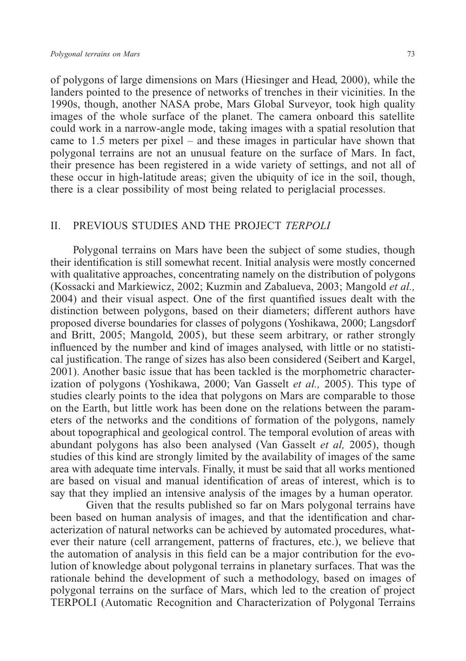of polygons of large dimensions on Mars (Hiesinger and Head, 2000), while the landers pointed to the presence of networks of trenches in their vicinities. In the 1990s, though, another NASA probe, Mars Global Surveyor, took high quality images of the whole surface of the planet. The camera onboard this satellite could work in a narrow-angle mode, taking images with a spatial resolution that came to 1.5 meters per pixel – and these images in particular have shown that polygonal terrains are not an unusual feature on the surface of Mars. In fact, their presence has been registered in a wide variety of settings, and not all of these occur in high-latitude areas; given the ubiquity of ice in the soil, though, there is a clear possibility of most being related to periglacial processes.

## II. PREVIOUS STUDIES AND THE PROJECT *TERPOLI*

Polygonal terrains on Mars have been the subject of some studies, though their identification is still somewhat recent. Initial analysis were mostly concerned with qualitative approaches, concentrating namely on the distribution of polygons (Kossacki and Markiewicz, 2002; Kuzmin and Zabalueva, 2003; Mangold *et al.,* 2004) and their visual aspect. One of the first quantified issues dealt with the distinction between polygons, based on their diameters; different authors have proposed diverse boundaries for classes of polygons (Yoshikawa, 2000; Langsdorf and Britt, 2005; Mangold, 2005), but these seem arbitrary, or rather strongly influenced by the number and kind of images analysed, with little or no statistical justification. The range of sizes has also been considered (Seibert and Kargel, 2001). Another basic issue that has been tackled is the morphometric characterization of polygons (Yoshikawa, 2000; Van Gasselt *et al.,* 2005). This type of studies clearly points to the idea that polygons on Mars are comparable to those on the Earth, but little work has been done on the relations between the parameters of the networks and the conditions of formation of the polygons, namely about topographical and geological control. The temporal evolution of areas with abundant polygons has also been analysed (Van Gasselt *et al,* 2005), though studies of this kind are strongly limited by the availability of images of the same area with adequate time intervals. Finally, it must be said that all works mentioned are based on visual and manual identification of areas of interest, which is to say that they implied an intensive analysis of the images by a human operator.

Given that the results published so far on Mars polygonal terrains have been based on human analysis of images, and that the identification and characterization of natural networks can be achieved by automated procedures, whatever their nature (cell arrangement, patterns of fractures, etc.), we believe that the automation of analysis in this field can be a major contribution for the evolution of knowledge about polygonal terrains in planetary surfaces. That was the rationale behind the development of such a methodology, based on images of polygonal terrains on the surface of Mars, which led to the creation of project TERPOLI (Automatic Recognition and Characterization of Polygonal Terrains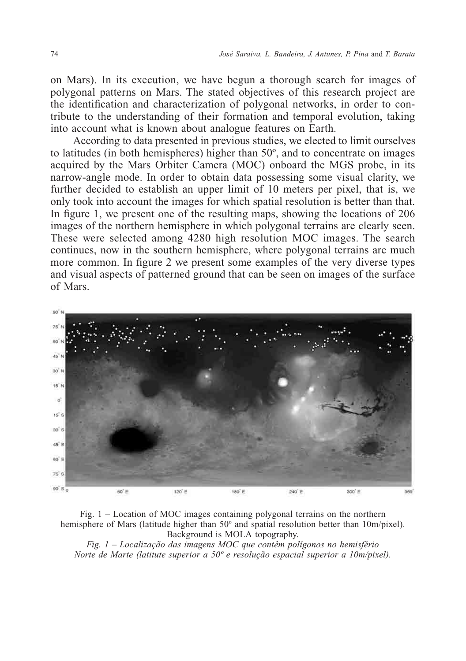on Mars). In its execution, we have begun a thorough search for images of polygonal patterns on Mars. The stated objectives of this research project are the identification and characterization of polygonal networks, in order to contribute to the understanding of their formation and temporal evolution, taking into account what is known about analogue features on Earth.

According to data presented in previous studies, we elected to limit ourselves to latitudes (in both hemispheres) higher than 50º, and to concentrate on images acquired by the Mars Orbiter Camera (MOC) onboard the MGS probe, in its narrow-angle mode. In order to obtain data possessing some visual clarity, we further decided to establish an upper limit of 10 meters per pixel, that is, we only took into account the images for which spatial resolution is better than that. In figure 1, we present one of the resulting maps, showing the locations of 206 images of the northern hemisphere in which polygonal terrains are clearly seen. These were selected among 4280 high resolution MOC images. The search continues, now in the southern hemisphere, where polygonal terrains are much more common. In figure 2 we present some examples of the very diverse types and visual aspects of patterned ground that can be seen on images of the surface of Mars.



Fig. 1 – Location of MOC images containing polygonal terrains on the northern hemisphere of Mars (latitude higher than 50° and spatial resolution better than 10m/pixel). Background is MOLA topography.

*Fig. 1 – Localização das imagens MOC que contêm polígonos no hemisfério Norte de Marte (latitute superior a 50º e resolução espacial superior a 10m/pixel).*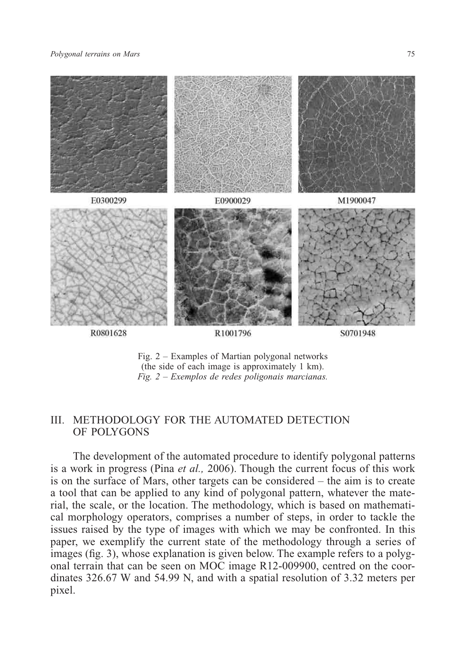#### *Polygonal terrains on Mars* 75



Fig. 2 – Examples of Martian polygonal networks (the side of each image is approximately 1 km). *Fig. 2 – Exemplos de redes poligonais marcianas.*

## III. METHODOLOGY FOR THE AUTOMATED DETECTION OF POLYGONS

The development of the automated procedure to identify polygonal patterns is a work in progress (Pina *et al.,* 2006). Though the current focus of this work is on the surface of Mars, other targets can be considered – the aim is to create a tool that can be applied to any kind of polygonal pattern, whatever the material, the scale, or the location. The methodology, which is based on mathematical morphology operators, comprises a number of steps, in order to tackle the issues raised by the type of images with which we may be confronted. In this paper, we exemplify the current state of the methodology through a series of images (fig. 3), whose explanation is given below. The example refers to a polygonal terrain that can be seen on MOC image R12-009900, centred on the coordinates 326.67 W and 54.99 N, and with a spatial resolution of 3.32 meters per pixel.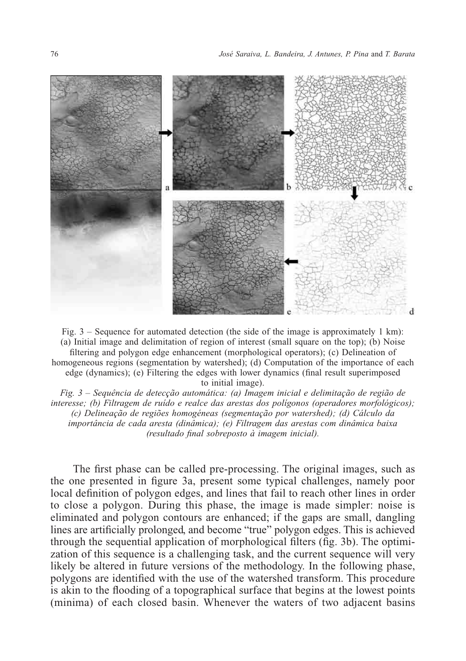

Fig. 3 – Sequence for automated detection (the side of the image is approximately 1 km): (a) Initial image and delimitation of region of interest (small square on the top); (b) Noise filtering and polygon edge enhancement (morphological operators); (c) Delineation of homogeneous regions (segmentation by watershed); (d) Computation of the importance of each edge (dynamics); (e) Filtering the edges with lower dynamics (final result superimposed to initial image).

*Fig. 3 – Sequência de detecção automática: (a) Imagem inicial e delimitação de região de interesse; (b) Filtragem de ruído e realce das arestas dos polígonos (operadores morfológicos); (c) Delineação de regiões homogéneas (segmentação por watershed); (d) Cálculo da importância de cada aresta (dinâmica); (e) Filtragem das arestas com dinâmica baixa (resultado final sobreposto à imagem inicial).*

The first phase can be called pre-processing. The original images, such as the one presented in figure 3a, present some typical challenges, namely poor local definition of polygon edges, and lines that fail to reach other lines in order to close a polygon. During this phase, the image is made simpler: noise is eliminated and polygon contours are enhanced; if the gaps are small, dangling lines are artificially prolonged, and become "true" polygon edges. This is achieved through the sequential application of morphological filters (fig. 3b). The optimization of this sequence is a challenging task, and the current sequence will very likely be altered in future versions of the methodology. In the following phase, polygons are identified with the use of the watershed transform. This procedure is akin to the flooding of a topographical surface that begins at the lowest points (minima) of each closed basin. Whenever the waters of two adjacent basins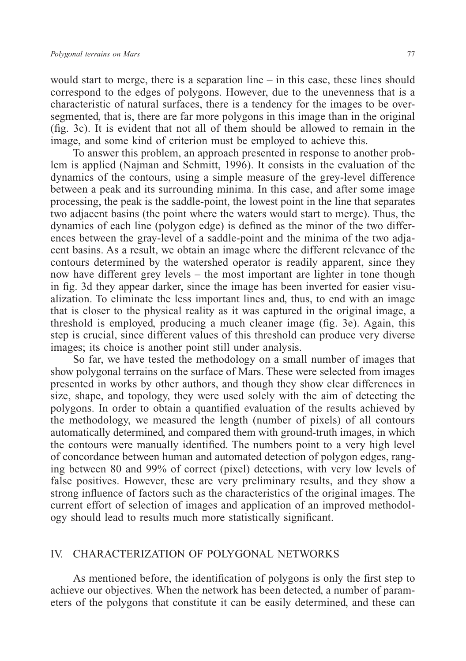would start to merge, there is a separation line – in this case, these lines should correspond to the edges of polygons. However, due to the unevenness that is a characteristic of natural surfaces, there is a tendency for the images to be oversegmented, that is, there are far more polygons in this image than in the original (fig. 3c). It is evident that not all of them should be allowed to remain in the image, and some kind of criterion must be employed to achieve this.

To answer this problem, an approach presented in response to another problem is applied (Najman and Schmitt, 1996). It consists in the evaluation of the dynamics of the contours, using a simple measure of the grey-level difference between a peak and its surrounding minima. In this case, and after some image processing, the peak is the saddle-point, the lowest point in the line that separates two adjacent basins (the point where the waters would start to merge). Thus, the dynamics of each line (polygon edge) is defined as the minor of the two differences between the gray-level of a saddle-point and the minima of the two adjacent basins. As a result, we obtain an image where the different relevance of the contours determined by the watershed operator is readily apparent, since they now have different grey levels – the most important are lighter in tone though in fig. 3d they appear darker, since the image has been inverted for easier visualization. To eliminate the less important lines and, thus, to end with an image that is closer to the physical reality as it was captured in the original image, a threshold is employed, producing a much cleaner image (fig. 3e). Again, this step is crucial, since different values of this threshold can produce very diverse images; its choice is another point still under analysis.

So far, we have tested the methodology on a small number of images that show polygonal terrains on the surface of Mars. These were selected from images presented in works by other authors, and though they show clear differences in size, shape, and topology, they were used solely with the aim of detecting the polygons. In order to obtain a quantified evaluation of the results achieved by the methodology, we measured the length (number of pixels) of all contours automatically determined, and compared them with ground-truth images, in which the contours were manually identified. The numbers point to a very high level of concordance between human and automated detection of polygon edges, ranging between 80 and 99% of correct (pixel) detections, with very low levels of false positives. However, these are very preliminary results, and they show a strong influence of factors such as the characteristics of the original images. The current effort of selection of images and application of an improved methodology should lead to results much more statistically significant.

## IV. CHARACTERIZATION OF POLYGONAL NETWORKS

As mentioned before, the identification of polygons is only the first step to achieve our objectives. When the network has been detected, a number of parameters of the polygons that constitute it can be easily determined, and these can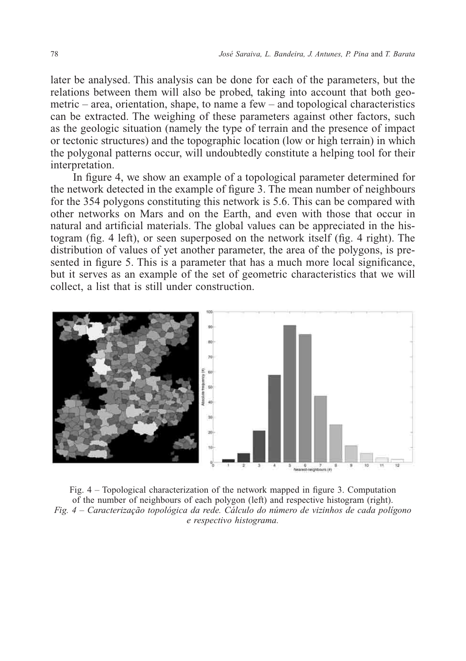later be analysed. This analysis can be done for each of the parameters, but the relations between them will also be probed, taking into account that both geometric – area, orientation, shape, to name a few – and topological characteristics can be extracted. The weighing of these parameters against other factors, such as the geologic situation (namely the type of terrain and the presence of impact or tectonic structures) and the topographic location (low or high terrain) in which the polygonal patterns occur, will undoubtedly constitute a helping tool for their interpretation.

In figure 4, we show an example of a topological parameter determined for the network detected in the example of figure 3. The mean number of neighbours for the 354 polygons constituting this network is 5.6. This can be compared with other networks on Mars and on the Earth, and even with those that occur in natural and artificial materials. The global values can be appreciated in the histogram (fig. 4 left), or seen superposed on the network itself (fig. 4 right). The distribution of values of yet another parameter, the area of the polygons, is presented in figure 5. This is a parameter that has a much more local significance, but it serves as an example of the set of geometric characteristics that we will collect, a list that is still under construction.



Fig. 4 – Topological characterization of the network mapped in figure 3. Computation of the number of neighbours of each polygon (left) and respective histogram (right). *Fig. 4 – Caracterização topológica da rede. Cálculo do número de vizinhos de cada polígono e respectivo histograma.*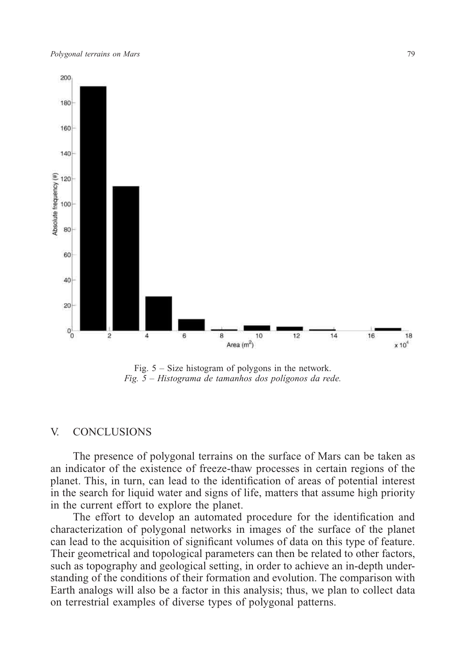

Fig. 5 – Size histogram of polygons in the network. *Fig. 5 – Histograma de tamanhos dos polígonos da rede.*

#### V. CONCLUSIONS

The presence of polygonal terrains on the surface of Mars can be taken as an indicator of the existence of freeze-thaw processes in certain regions of the planet. This, in turn, can lead to the identification of areas of potential interest in the search for liquid water and signs of life, matters that assume high priority in the current effort to explore the planet.

The effort to develop an automated procedure for the identification and characterization of polygonal networks in images of the surface of the planet can lead to the acquisition of significant volumes of data on this type of feature. Their geometrical and topological parameters can then be related to other factors, such as topography and geological setting, in order to achieve an in-depth understanding of the conditions of their formation and evolution. The comparison with Earth analogs will also be a factor in this analysis; thus, we plan to collect data on terrestrial examples of diverse types of polygonal patterns.